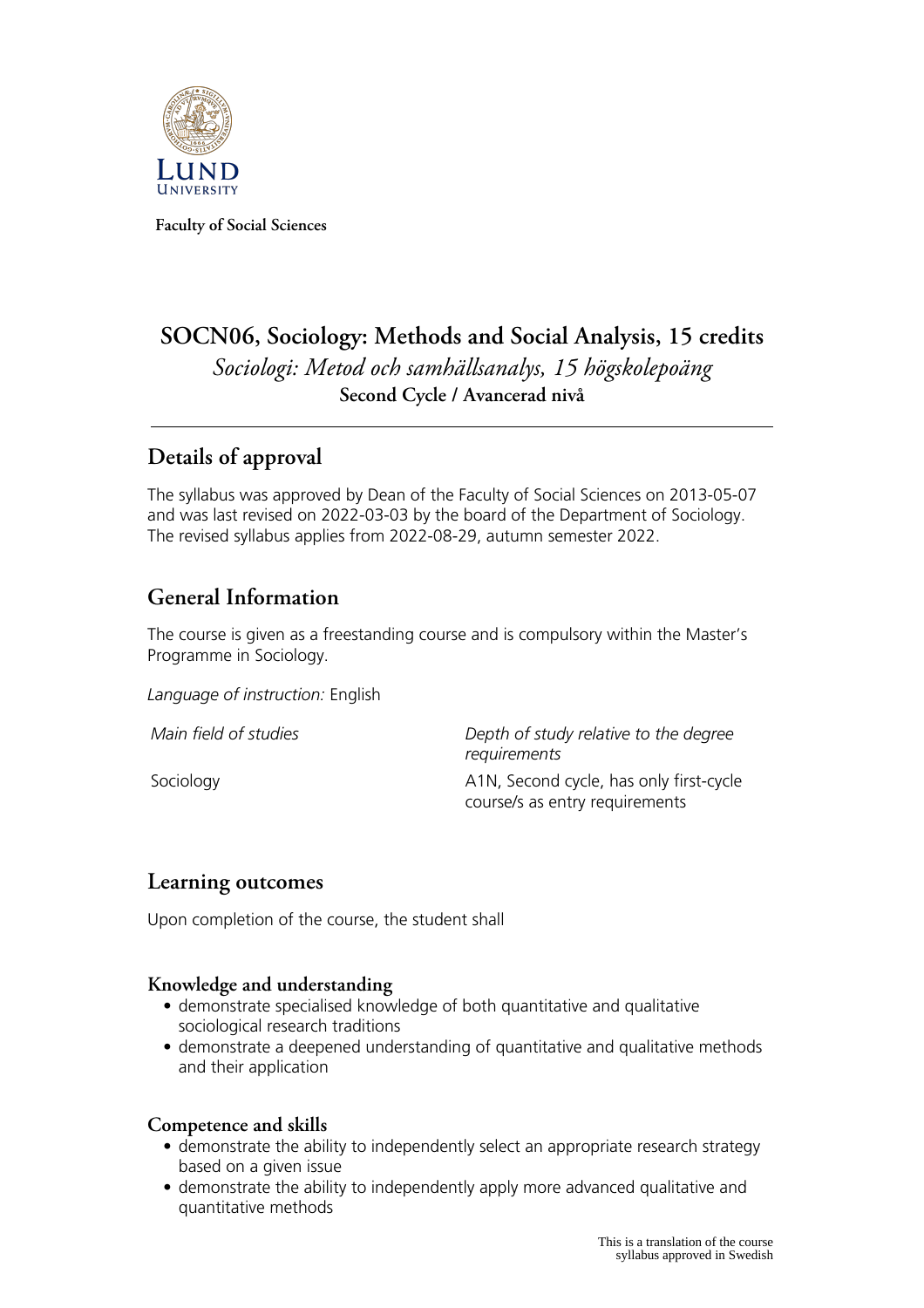

**Faculty of Social Sciences**

# **SOCN06, Sociology: Methods and Social Analysis, 15 credits** *Sociologi: Metod och samhällsanalys, 15 högskolepoäng* **Second Cycle / Avancerad nivå**

## **Details of approval**

The syllabus was approved by Dean of the Faculty of Social Sciences on 2013-05-07 and was last revised on 2022-03-03 by the board of the Department of Sociology. The revised syllabus applies from 2022-08-29, autumn semester 2022.

# **General Information**

The course is given as a freestanding course and is compulsory within the Master's Programme in Sociology.

*Language of instruction:* English

*Main field of studies Depth of study relative to the degree requirements* Sociology **A1N, Second cycle, has only first-cycle** course/s as entry requirements

## **Learning outcomes**

Upon completion of the course, the student shall

### **Knowledge and understanding**

- demonstrate specialised knowledge of both quantitative and qualitative sociological research traditions
- demonstrate a deepened understanding of quantitative and qualitative methods and their application

#### **Competence and skills**

- demonstrate the ability to independently select an appropriate research strategy based on a given issue
- demonstrate the ability to independently apply more advanced qualitative and quantitative methods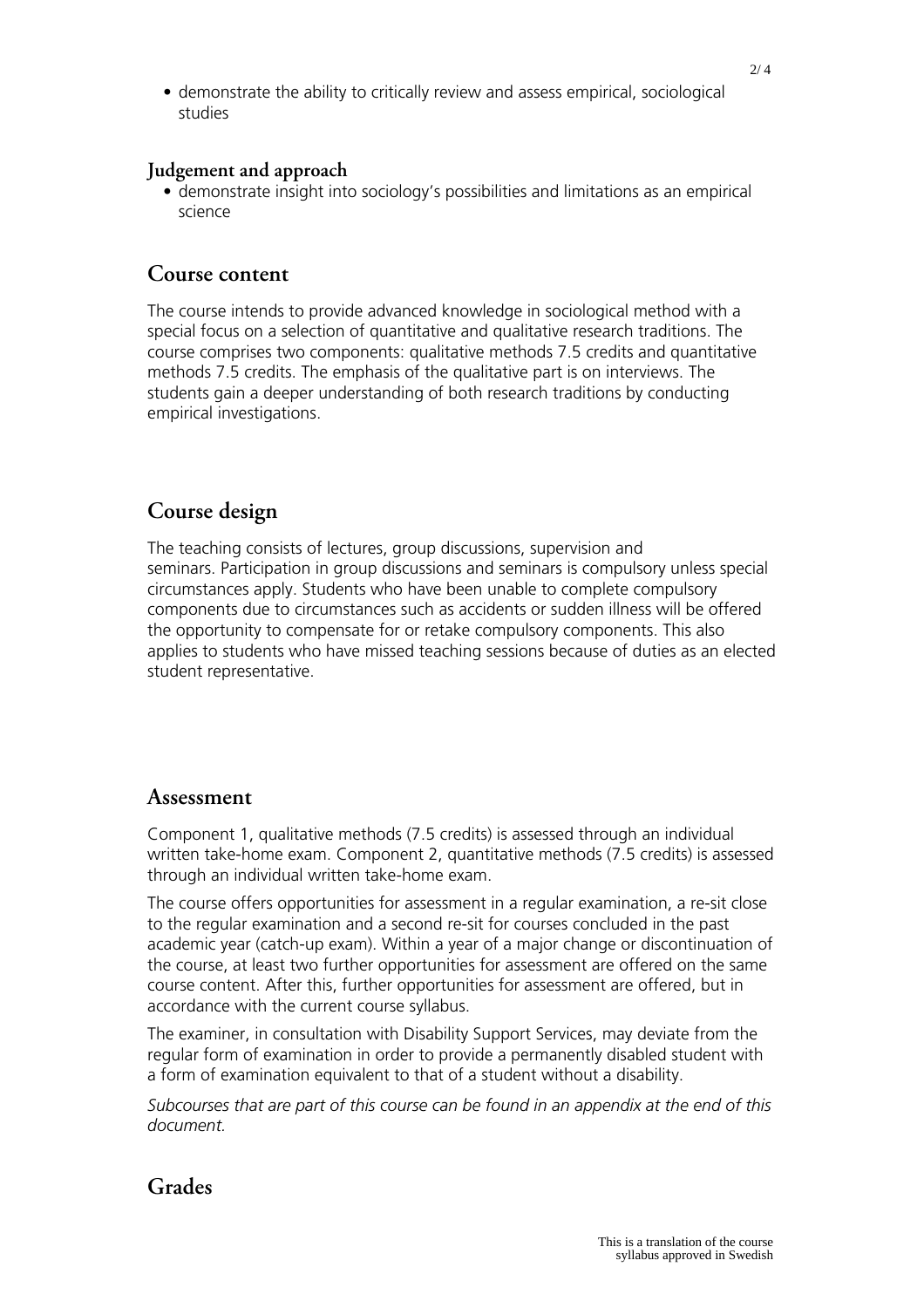• demonstrate the ability to critically review and assess empirical, sociological studies

#### **Judgement and approach**

• demonstrate insight into sociology's possibilities and limitations as an empirical science

### **Course content**

The course intends to provide advanced knowledge in sociological method with a special focus on a selection of quantitative and qualitative research traditions. The course comprises two components: qualitative methods 7.5 credits and quantitative methods 7.5 credits. The emphasis of the qualitative part is on interviews. The students gain a deeper understanding of both research traditions by conducting empirical investigations.

## **Course design**

The teaching consists of lectures, group discussions, supervision and seminars. Participation in group discussions and seminars is compulsory unless special circumstances apply. Students who have been unable to complete compulsory components due to circumstances such as accidents or sudden illness will be offered the opportunity to compensate for or retake compulsory components. This also applies to students who have missed teaching sessions because of duties as an elected student representative.

### **Assessment**

Component 1, qualitative methods (7.5 credits) is assessed through an individual written take-home exam. Component 2, quantitative methods (7.5 credits) is assessed through an individual written take-home exam.

The course offers opportunities for assessment in a regular examination, a re-sit close to the regular examination and a second re-sit for courses concluded in the past academic year (catch-up exam). Within a year of a major change or discontinuation of the course, at least two further opportunities for assessment are offered on the same course content. After this, further opportunities for assessment are offered, but in accordance with the current course syllabus.

The examiner, in consultation with Disability Support Services, may deviate from the regular form of examination in order to provide a permanently disabled student with a form of examination equivalent to that of a student without a disability.

*Subcourses that are part of this course can be found in an appendix at the end of this document.*

## **Grades**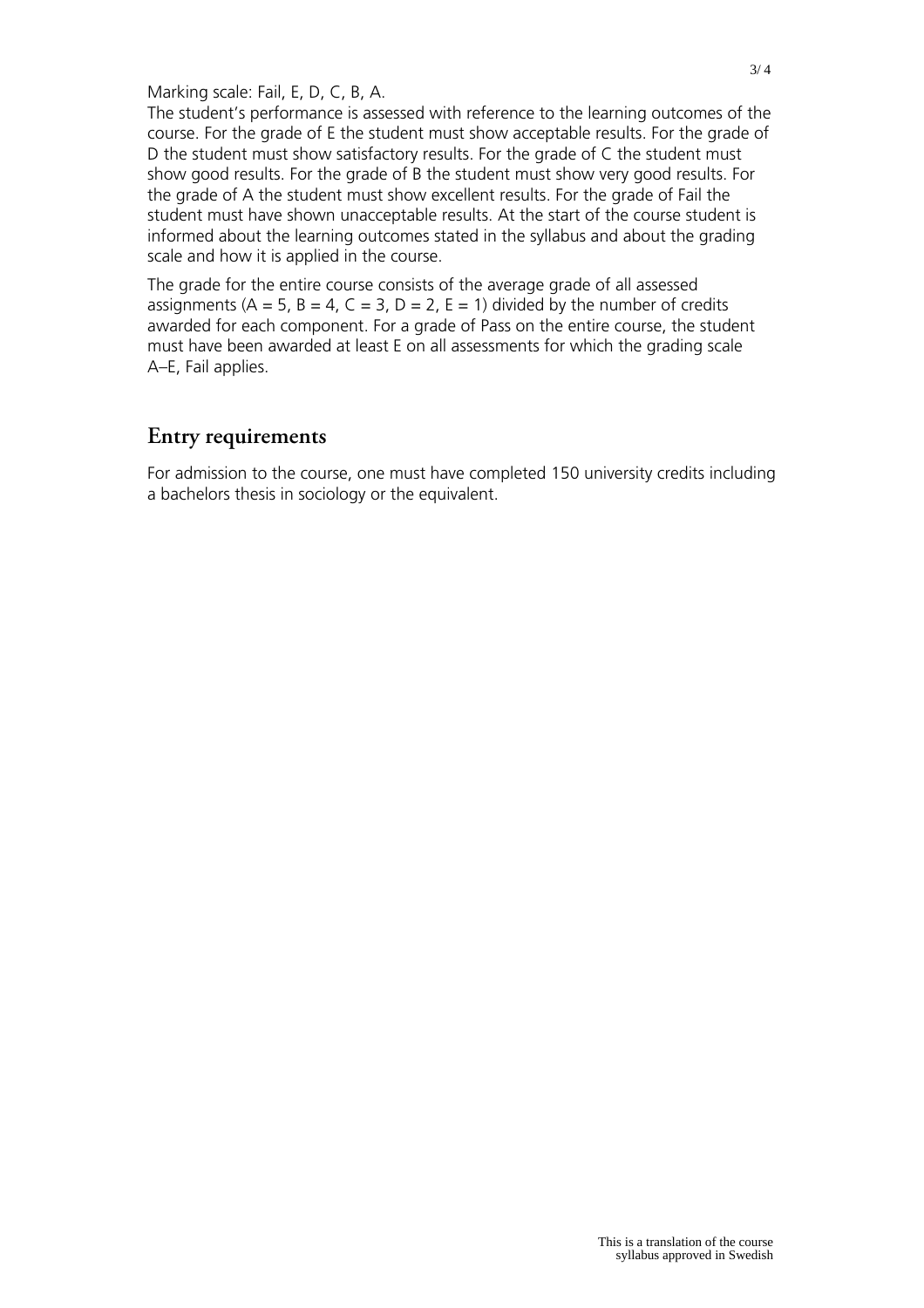Marking scale: Fail, E, D, C, B, A.

The student's performance is assessed with reference to the learning outcomes of the course. For the grade of E the student must show acceptable results. For the grade of D the student must show satisfactory results. For the grade of C the student must show good results. For the grade of B the student must show very good results. For the grade of A the student must show excellent results. For the grade of Fail the student must have shown unacceptable results. At the start of the course student is informed about the learning outcomes stated in the syllabus and about the grading scale and how it is applied in the course.

The grade for the entire course consists of the average grade of all assessed assignments ( $A = 5$ ,  $B = 4$ ,  $C = 3$ ,  $D = 2$ ,  $E = 1$ ) divided by the number of credits awarded for each component. For a grade of Pass on the entire course, the student must have been awarded at least E on all assessments for which the grading scale A–E, Fail applies.

## **Entry requirements**

For admission to the course, one must have completed 150 university credits including a bachelors thesis in sociology or the equivalent.